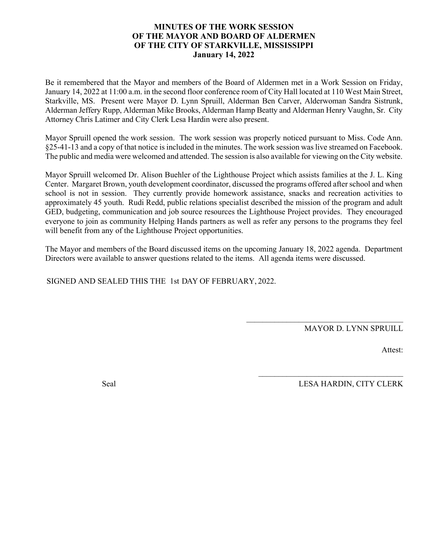#### **MINUTES OF THE WORK SESSION OF THE MAYOR AND BOARD OF ALDERMEN OF THE CITY OF STARKVILLE, MISSISSIPPI January 14, 2022**

Be it remembered that the Mayor and members of the Board of Aldermen met in a Work Session on Friday, January 14, 2022 at 11:00 a.m. in the second floor conference room of City Hall located at 110 West Main Street, Starkville, MS. Present were Mayor D. Lynn Spruill, Alderman Ben Carver, Alderwoman Sandra Sistrunk, Alderman Jeffery Rupp, Alderman Mike Brooks, Alderman Hamp Beatty and Alderman Henry Vaughn, Sr. City Attorney Chris Latimer and City Clerk Lesa Hardin were also present.

Mayor Spruill opened the work session. The work session was properly noticed pursuant to Miss. Code Ann. §25-41-13 and a copy of that notice is included in the minutes. The work session waslive streamed on Facebook. The public and media were welcomed and attended. The session is also available for viewing on the City website.

Mayor Spruill welcomed Dr. Alison Buehler of the Lighthouse Project which assists families at the J. L. King Center. Margaret Brown, youth development coordinator, discussed the programs offered after school and when school is not in session. They currently provide homework assistance, snacks and recreation activities to approximately 45 youth. Rudi Redd, public relations specialist described the mission of the program and adult GED, budgeting, communication and job source resources the Lighthouse Project provides. They encouraged everyone to join as community Helping Hands partners as well as refer any persons to the programs they feel will benefit from any of the Lighthouse Project opportunities.

The Mayor and members of the Board discussed items on the upcoming January 18, 2022 agenda. Department Directors were available to answer questions related to the items. All agenda items were discussed.

SIGNED AND SEALED THIS THE 1st DAY OF FEBRUARY, 2022.

MAYOR D. LYNN SPRUILL

\_\_\_\_\_\_\_\_\_\_\_\_\_\_\_\_\_\_\_\_\_\_\_\_\_\_\_\_\_\_\_\_\_\_\_\_\_\_\_

\_\_\_\_\_\_\_\_\_\_\_\_\_\_\_\_\_\_\_\_\_\_\_\_\_\_\_\_\_\_\_\_\_\_\_\_

Attest:

Seal LESA HARDIN, CITY CLERK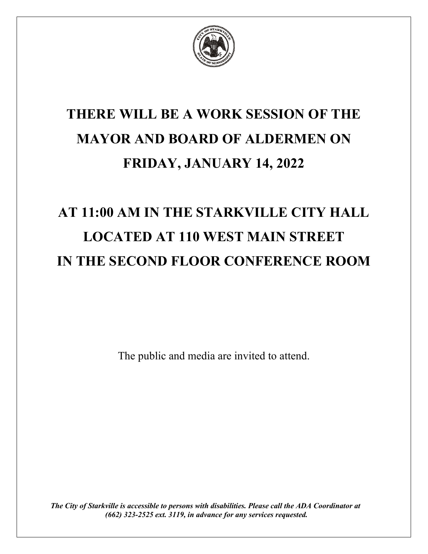

## **THERE WILL BE A WORK SESSION OF THE MAYOR AND BOARD OF ALDERMEN ON FRIDAY, JANUARY 14, 2022**

# **AT 11:00 AM IN THE STARKVILLE CITY HALL LOCATED AT 110 WEST MAIN STREET IN THE SECOND FLOOR CONFERENCE ROOM**

The public and media are invited to attend.

*The City of Starkville is accessible to persons with disabilities. Please call the ADA Coordinator at (662) 323-2525 ext. 3119, in advance for any services requested.*